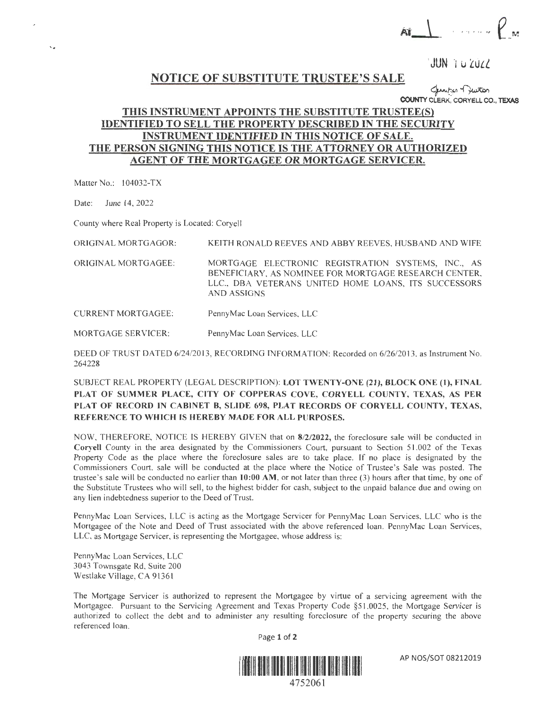$\left(\begin{array}{c} \cdots & \cdots & \mathsf{P}_N \end{array}\right)$ 

 $JUN$  1 u 2022

## **NOTICE OF SUBSTITUTE TRUSTEE'S SALE**

*~tf'l~*  **COUNTY** CLERK, CORYELL **CO., TEXAS** 

## **THIS INSTRUMENT APPOINTS THE SUBSTITUTE TRUSTEE{S) IDENTIFIED TO SELL THE PROPERTY DESCRIBED** IN **THE SECURITY INSTRUMENT IDENTIFIED** IN **THIS NOTICE OF SALE. THE PERSON SIGNING THIS NOTICE IS THE ATTORNEY OR AUTHORIZED AGENT OF THE MORTGAGEE OR MORTGAGE SERVICER.**

Matter No.: 104032-TX

Date: June 14, 2022

County where Real Property is Located: Coryell

ORIGINAL MORTGAGOR: KEITH RONALD REEVES AND ABBY REEVES, HUSBAND AND WIFE

ORIGINAL MORTGAGEE: MORTGAGE ELECTRONIC REGISTRATION SYSTEMS, INC., AS BENEFICIARY, AS NOMINEE FOR MORTGAGE RESEARCH CENTER, LLC., DBA VETERANS UNITED HOME LOANS, ITS SUCCESSORS AND ASSIGNS

CURRENT MORTGAGEE: PennyMac Loan Services, LLC

MORTGAGE SERVICER: PennyMac Loan Services, LLC

DEED OF TRUST DATED 6/24/2013 , RECORDING INFORMATION: Recorded on 6/26/2013, as Instrument No. 264228

SUBJECT REAL PROPERTY (LEGAL DESCRIPTION): **LOT TWENTY-ONE (21), BLOCK ONE (1), FINAL PLAT OF SUMMER PLACE, CITY OF COPPERAS COVE, CORYELL COUNTY, TEXAS, AS PER PLAT OF RECORD IN CABINET B, SLlDE 698, PLAT RECORDS OF CORYELL COUNTY, TEXAS,**  REFERENCE TO WHICH IS HEREBY MADE FOR ALL PURPOSES.

NOW, THEREFORE, NOTICE IS HEREBY GIVEN that on **8/2/2022,** the foreclosure sale will be conducted in **Coryell** County in the area designated by the Commissioners Court, pursuant to Section 51 .002 of the Texas Property Code as the place where the foreclosure sales are to take place. Tf no place is designated by the Commissioners Court, sale will be conducted at the place where the Notice of Trustee's Sale was posted. The trustee 's sale will be conducted no earlier than **10:00 AM,** or not later than three (3) hours after that time, by one of the Substitute Trustees who will sell, to the highest bidder for cash, subject to the unpaid balance due and owing on any lien indebtedness superior to the Deed of Trust.

PennyMac Loan Services, LLC is acting as the Mortgage Servicer for PennyMac Loan Services, LLC who is the Mortgagee of the Note and Deed of Trust associated with the above referenced loan. PennyMac Loan Services, LLC, as Mortgage Servicer, is representing the Mortgagee, whose address is:

PennyMac Loan Services, LLC 3043 Townsgate Rd, Suite 200 Westlake Village, CA 91361

The Mortgage Servicer is authorized to represent the Mortgagee by virtue of a servicing agreement with the Mortgagee. Pursuant to the Servicing Agreement and Texas Property Code §51.0025, the Mortgage Servicer is authorized to collect the debt and to administer any resulting foreclosure of the property securing the above referenced loan .

Page 1 of 2



AP NOS/SOT 08212019